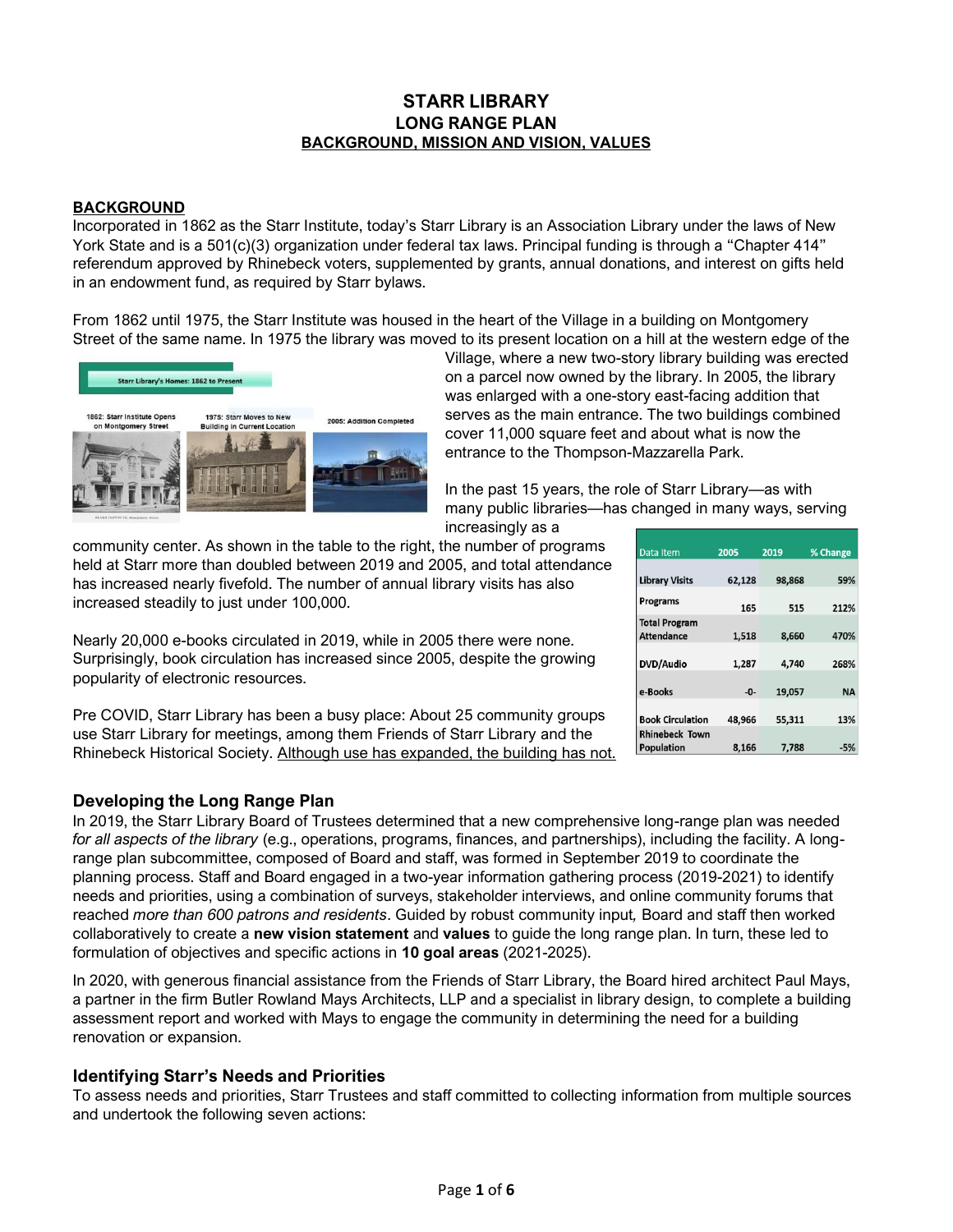# **STARR LIBRARY LONG RANGE PLAN BACKGROUND, MISSION AND VISION, VALUES**

## **BACKGROUND**

Incorporated in 1862 as the Starr Institute, today's Starr Library is an Association Library under the laws of New York State and is a 501(c)(3) organization under federal tax laws. Principal funding is through a "Chapter 414" referendum approved by Rhinebeck voters, supplemented by grants, annual donations, and interest on gifts held in an endowment fund, as required by Starr bylaws.

From 1862 until 1975, the Starr Institute was housed in the heart of the Village in a building on Montgomery Street of the same name. In 1975 the library was moved to its present location on a hill at the western edge of the



Village, where a new two-story library building was erected on a parcel now owned by the library. In 2005, the library was enlarged with a one-story east-facing addition that serves as the main entrance. The two buildings combined cover 11,000 square feet and about what is now the entrance to the Thompson-Mazzarella Park.

In the past 15 years, the role of Starr Library—as with many public libraries—has changed in many ways, serving

increasingly as a

community center. As shown in the table to the right, the number of programs held at Starr more than doubled between 2019 and 2005, and total attendance has increased nearly fivefold. The number of annual library visits has also increased steadily to just under 100,000.

Nearly 20,000 e-books circulated in 2019, while in 2005 there were none. Surprisingly, book circulation has increased since 2005, despite the growing popularity of electronic resources.

Pre COVID, Starr Library has been a busy place: About 25 community groups use Starr Library for meetings, among them Friends of Starr Library and the Rhinebeck Historical Society. Although use has expanded, the building has not.

# **Developing the Long Range Plan**

In 2019, the Starr Library Board of Trustees determined that a new comprehensive long-range plan was needed *for all aspects of the library* (e.g., operations, programs, finances, and partnerships), including the facility. A longrange plan subcommittee, composed of Board and staff, was formed in September 2019 to coordinate the planning process. Staff and Board engaged in a two-year information gathering process (2019-2021) to identify needs and priorities, using a combination of surveys, stakeholder interviews, and online community forums that reached *more than 600 patrons and residents*. Guided by robust community input*,* Board and staff then worked collaboratively to create a **new vision statement** and **values** to guide the long range plan. In turn, these led to formulation of objectives and specific actions in **10 goal areas** (2021-2025).

In 2020, with generous financial assistance from the Friends of Starr Library, the Board hired architect Paul Mays, a partner in the firm Butler Rowland Mays Architects, LLP and a specialist in library design, to complete a building assessment report and worked with Mays to engage the community in determining the need for a building renovation or expansion.

# **Identifying Starr's Needs and Priorities**

To assess needs and priorities, Starr Trustees and staff committed to collecting information from multiple sources and undertook the following seven actions:

| Data Item               | 2005   | 2019   | % Change  |
|-------------------------|--------|--------|-----------|
|                         |        |        |           |
| <b>Library Visits</b>   | 62,128 | 98,868 | 59%       |
|                         |        |        |           |
| <b>Programs</b>         | 165    | 515    | 212%      |
| <b>Total Program</b>    |        |        |           |
| <b>Attendance</b>       | 1.518  | 8.660  | 470%      |
|                         |        |        |           |
| DVD/Audio               | 1,287  | 4.740  | 268%      |
|                         |        |        |           |
| e-Books                 | -0-    | 19,057 | <b>NA</b> |
|                         |        |        |           |
| <b>Book Circulation</b> | 48,966 | 55,311 | 13%       |
| <b>Rhinebeck Town</b>   |        |        |           |
| <b>Population</b>       | 8.166  | 7,788  | $-5%$     |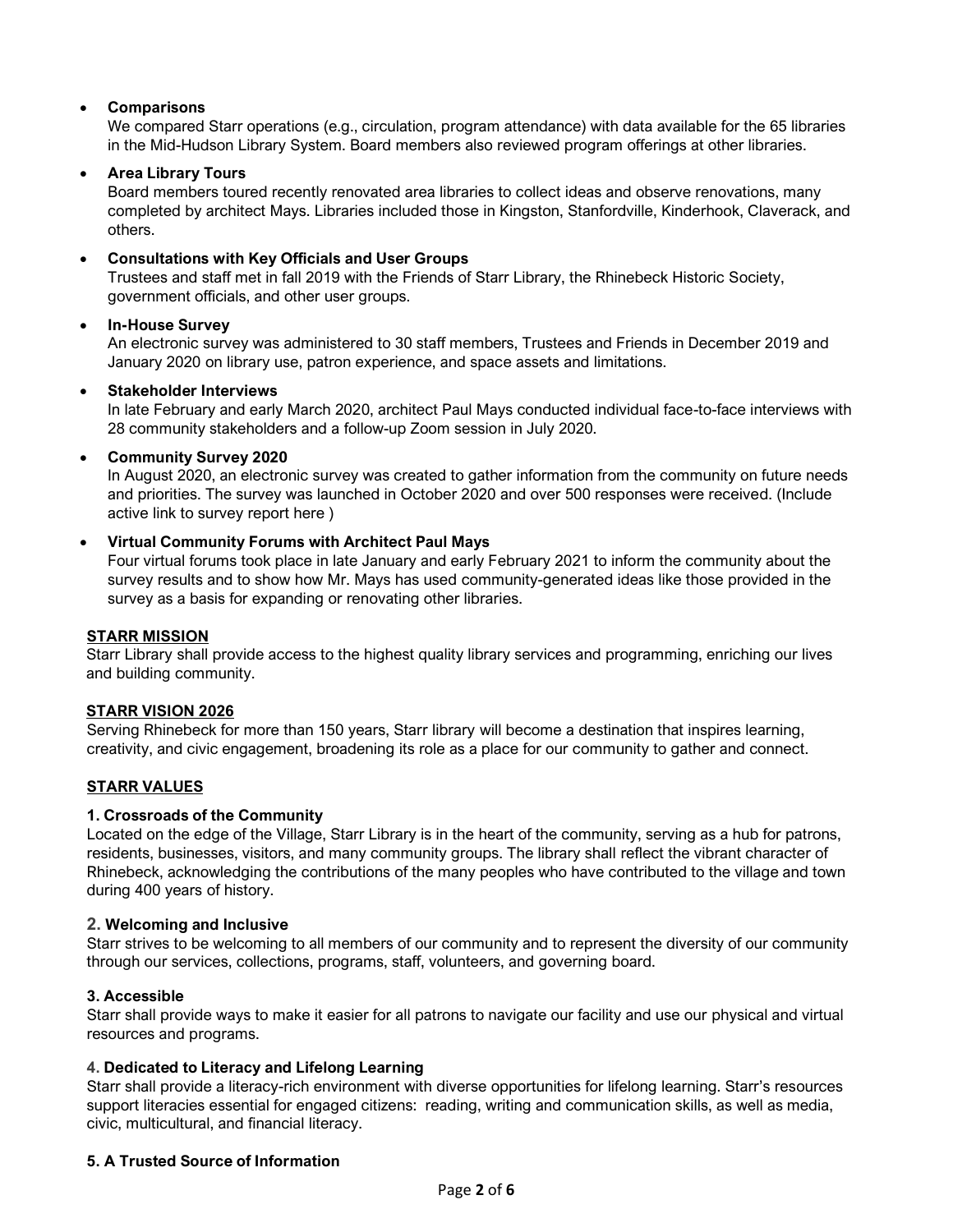# • **Comparisons**

We compared Starr operations (e.g., circulation, program attendance) with data available for the 65 libraries in the Mid-Hudson Library System. Board members also reviewed program offerings at other libraries.

### • **Area Library Tours**

Board members toured recently renovated area libraries to collect ideas and observe renovations, many completed by architect Mays. Libraries included those in Kingston, Stanfordville, Kinderhook, Claverack, and others.

## • **Consultations with Key Officials and User Groups**

Trustees and staff met in fall 2019 with the Friends of Starr Library, the Rhinebeck Historic Society, government officials, and other user groups.

## • **In-House Survey**

An electronic survey was administered to 30 staff members, Trustees and Friends in December 2019 and January 2020 on library use, patron experience, and space assets and limitations.

### • **Stakeholder Interviews**

In late February and early March 2020, architect Paul Mays conducted individual face-to-face interviews with 28 community stakeholders and a follow-up Zoom session in July 2020.

## • **Community Survey 2020**

In August 2020, an electronic survey was created to gather information from the community on future needs and priorities. The survey was launched in October 2020 and over 500 responses were received. (Include active link to survey report here )

## • **Virtual Community Forums with Architect Paul Mays**

Four virtual forums took place in late January and early February 2021 to inform the community about the survey results and to show how Mr. Mays has used community-generated ideas like those provided in the survey as a basis for expanding or renovating other libraries.

### **STARR MISSION**

Starr Library shall provide access to the highest quality library services and programming, enriching our lives and building community.

### **STARR VISION 2026**

Serving Rhinebeck for more than 150 years, Starr library will become a destination that inspires learning, creativity, and civic engagement, broadening its role as a place for our community to gather and connect.

# **STARR VALUES**

# **1. Crossroads of the Community**

Located on the edge of the Village, Starr Library is in the heart of the community, serving as a hub for patrons, residents, businesses, visitors, and many community groups. The library shall reflect the vibrant character of Rhinebeck, acknowledging the contributions of the many peoples who have contributed to the village and town during 400 years of history.

### **2. Welcoming and Inclusive**

Starr strives to be welcoming to all members of our community and to represent the diversity of our community through our services, collections, programs, staff, volunteers, and governing board.

### **3. Accessible**

Starr shall provide ways to make it easier for all patrons to navigate our facility and use our physical and virtual resources and programs.

### **4. Dedicated to Literacy and Lifelong Learning**

Starr shall provide a literacy-rich environment with diverse opportunities for lifelong learning. Starr's resources support literacies essential for engaged citizens: reading, writing and communication skills, as well as media, civic, multicultural, and financial literacy.

### **5. A Trusted Source of Information**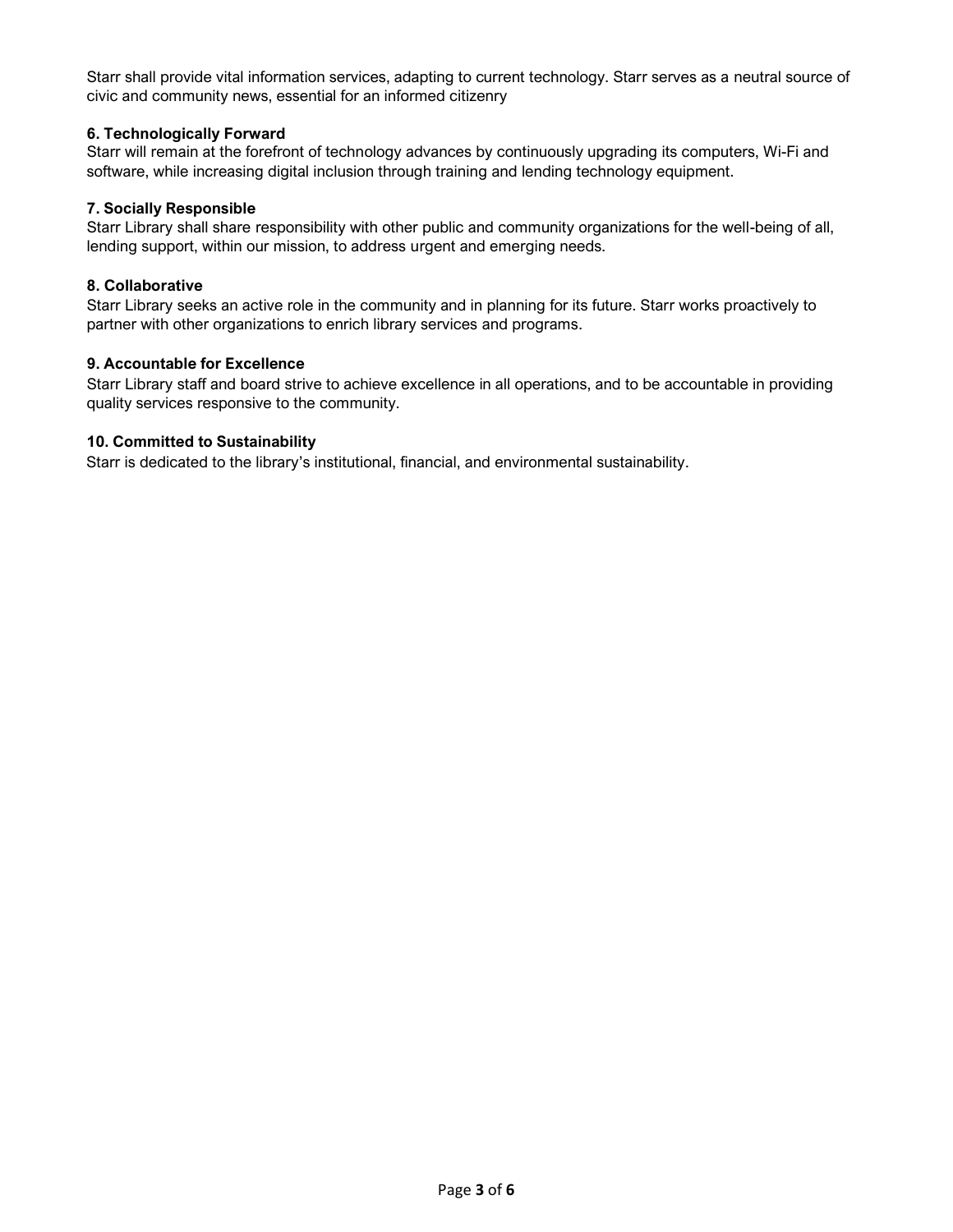Starr shall provide vital information services, adapting to current technology. Starr serves as a neutral source of civic and community news, essential for an informed citizenry

## **6. Technologically Forward**

Starr will remain at the forefront of technology advances by continuously upgrading its computers, Wi-Fi and software, while increasing digital inclusion through training and lending technology equipment.

### **7. Socially Responsible**

Starr Library shall share responsibility with other public and community organizations for the well-being of all, lending support, within our mission, to address urgent and emerging needs.

### **8. Collaborative**

Starr Library seeks an active role in the community and in planning for its future. Starr works proactively to partner with other organizations to enrich library services and programs.

## **9. Accountable for Excellence**

Starr Library staff and board strive to achieve excellence in all operations, and to be accountable in providing quality services responsive to the community.

### **10. Committed to Sustainability**

Starr is dedicated to the library's institutional, financial, and environmental sustainability.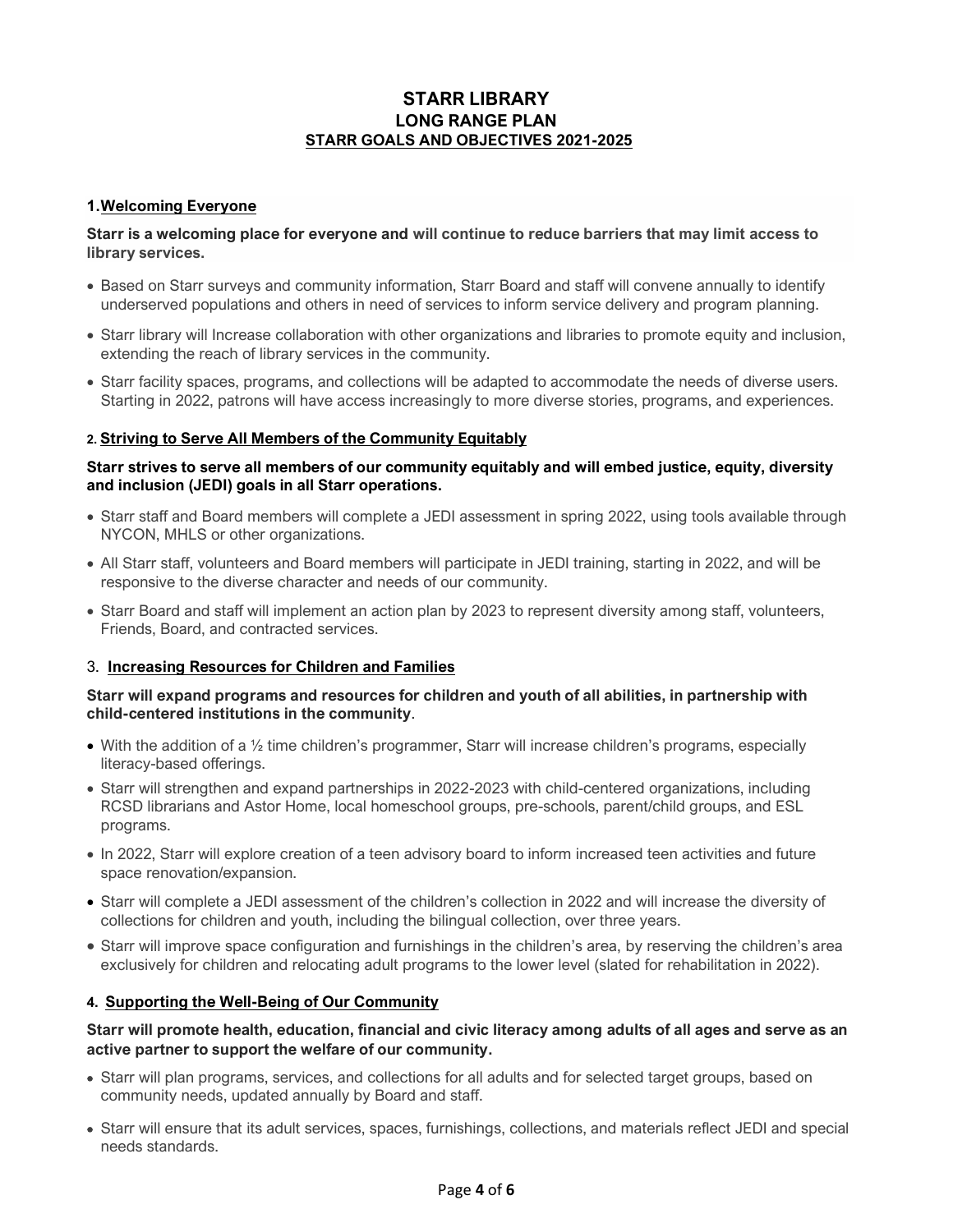# **STARR LIBRARY LONG RANGE PLAN STARR GOALS AND OBJECTIVES 2021-2025**

# **1.Welcoming Everyone**

## **Starr is a welcoming place for everyone and will continue to reduce barriers that may limit access to library services.**

- Based on Starr surveys and community information, Starr Board and staff will convene annually to identify underserved populations and others in need of services to inform service delivery and program planning.
- Starr library will Increase collaboration with other organizations and libraries to promote equity and inclusion, extending the reach of library services in the community.
- Starr facility spaces, programs, and collections will be adapted to accommodate the needs of diverse users. Starting in 2022, patrons will have access increasingly to more diverse stories, programs, and experiences.

# **2. Striving to Serve All Members of the Community Equitably**

# **Starr strives to serve all members of our community equitably and will embed justice, equity, diversity and inclusion (JEDI) goals in all Starr operations.**

- Starr staff and Board members will complete a JEDI assessment in spring 2022, using tools available through NYCON, MHLS or other organizations.
- All Starr staff, volunteers and Board members will participate in JEDI training, starting in 2022, and will be responsive to the diverse character and needs of our community.
- Starr Board and staff will implement an action plan by 2023 to represent diversity among staff, volunteers, Friends, Board, and contracted services.

# 3. **Increasing Resources for Children and Families**

## **Starr will expand programs and resources for children and youth of all abilities, in partnership with child-centered institutions in the community**.

- With the addition of a 1/<sub>2</sub> time children's programmer, Starr will increase children's programs, especially literacy-based offerings.
- Starr will strengthen and expand partnerships in 2022-2023 with child-centered organizations, including RCSD librarians and Astor Home, local homeschool groups, pre-schools, parent/child groups, and ESL programs.
- In 2022, Starr will explore creation of a teen advisory board to inform increased teen activities and future space renovation/expansion.
- Starr will complete a JEDI assessment of the children's collection in 2022 and will increase the diversity of collections for children and youth, including the bilingual collection, over three years.
- Starr will improve space configuration and furnishings in the children's area, by reserving the children's area exclusively for children and relocating adult programs to the lower level (slated for rehabilitation in 2022).

# **4. Supporting the Well-Being of Our Community**

# **Starr will promote health, education, financial and civic literacy among adults of all ages and serve as an active partner to support the welfare of our community.**

- Starr will plan programs, services, and collections for all adults and for selected target groups, based on community needs, updated annually by Board and staff.
- Starr will ensure that its adult services, spaces, furnishings, collections, and materials reflect JEDI and special needs standards.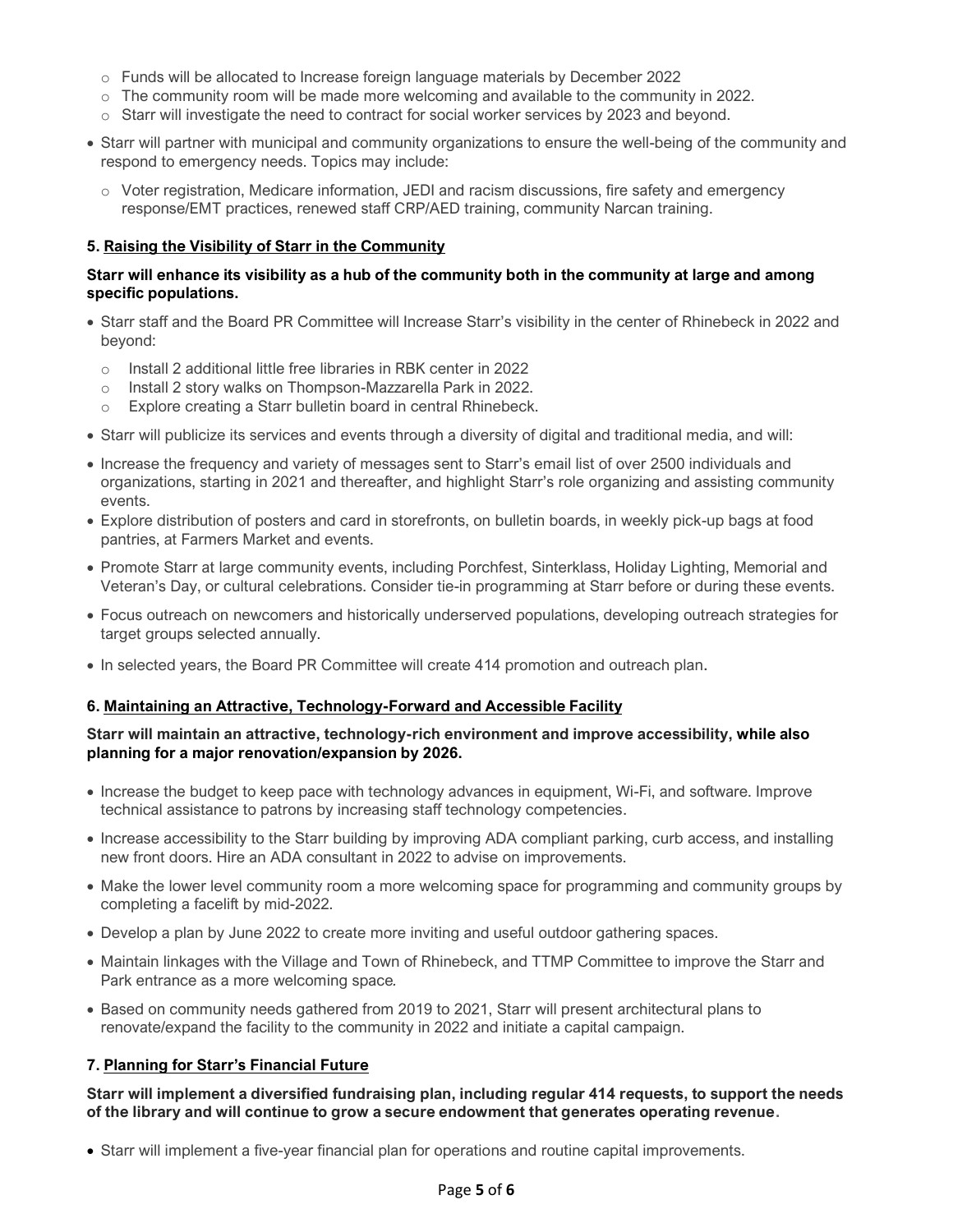- o Funds will be allocated to Increase foreign language materials by December 2022
- $\circ$  The community room will be made more welcoming and available to the community in 2022.
- $\circ$  Starr will investigate the need to contract for social worker services by 2023 and beyond.
- Starr will partner with municipal and community organizations to ensure the well-being of the community and respond to emergency needs. Topics may include:
	- o Voter registration, Medicare information, JEDI and racism discussions, fire safety and emergency response/EMT practices, renewed staff CRP/AED training, community Narcan training.

### **5. Raising the Visibility of Starr in the Community**

## **Starr will enhance its visibility as a hub of the community both in the community at large and among specific populations.**

- Starr staff and the Board PR Committee will Increase Starr's visibility in the center of Rhinebeck in 2022 and beyond:
	- o Install 2 additional little free libraries in RBK center in 2022
	- o Install 2 story walks on Thompson-Mazzarella Park in 2022.
	- o Explore creating a Starr bulletin board in central Rhinebeck.
- Starr will publicize its services and events through a diversity of digital and traditional media, and will:
- Increase the frequency and variety of messages sent to Starr's email list of over 2500 individuals and organizations, starting in 2021 and thereafter, and highlight Starr's role organizing and assisting community events.
- Explore distribution of posters and card in storefronts, on bulletin boards, in weekly pick-up bags at food pantries, at Farmers Market and events.
- Promote Starr at large community events, including Porchfest, Sinterklass, Holiday Lighting, Memorial and Veteran's Day, or cultural celebrations. Consider tie-in programming at Starr before or during these events.
- Focus outreach on newcomers and historically underserved populations, developing outreach strategies for target groups selected annually.
- In selected years, the Board PR Committee will create 414 promotion and outreach plan.

### **6. Maintaining an Attractive, Technology-Forward and Accessible Facility**

## **Starr will maintain an attractive, technology-rich environment and improve accessibility, while also planning for a major renovation/expansion by 2026.**

- Increase the budget to keep pace with technology advances in equipment, Wi-Fi, and software. Improve technical assistance to patrons by increasing staff technology competencies.
- Increase accessibility to the Starr building by improving ADA compliant parking, curb access, and installing new front doors. Hire an ADA consultant in 2022 to advise on improvements.
- Make the lower level community room a more welcoming space for programming and community groups by completing a facelift by mid-2022.
- Develop a plan by June 2022 to create more inviting and useful outdoor gathering spaces.
- Maintain linkages with the Village and Town of Rhinebeck, and TTMP Committee to improve the Starr and Park entrance as a more welcoming space*.*
- Based on community needs gathered from 2019 to 2021, Starr will present architectural plans to renovate/expand the facility to the community in 2022 and initiate a capital campaign.

# **7. Planning for Starr's Financial Future**

**Starr will implement a diversified fundraising plan, including regular 414 requests, to support the needs of the library and will continue to grow a secure endowment that generates operating revenue.**

• Starr will implement a five-year financial plan for operations and routine capital improvements.